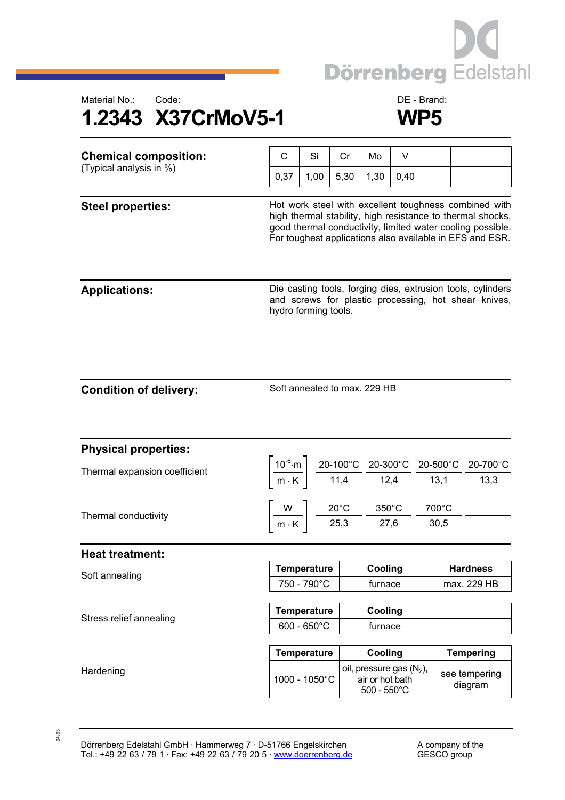



| <b>Chemical composition:</b><br>(Typical analysis in %) | C                                                                                                                                                                                                                                             | Si   | Cr   | Mo                                                                               | V    |               |                                |  |
|---------------------------------------------------------|-----------------------------------------------------------------------------------------------------------------------------------------------------------------------------------------------------------------------------------------------|------|------|----------------------------------------------------------------------------------|------|---------------|--------------------------------|--|
|                                                         | 0,37                                                                                                                                                                                                                                          | 1,00 | 5,30 | 1,30                                                                             | 0,40 |               |                                |  |
| <b>Steel properties:</b>                                | Hot work steel with excellent toughness combined with<br>high thermal stability, high resistance to thermal shocks,<br>good thermal conductivity, limited water cooling possible.<br>For toughest applications also available in EFS and ESR. |      |      |                                                                                  |      |               |                                |  |
| <b>Applications:</b>                                    | Die casting tools, forging dies, extrusion tools, cylinders<br>and screws for plastic processing, hot shear knives,<br>hydro forming tools.                                                                                                   |      |      |                                                                                  |      |               |                                |  |
| <b>Condition of delivery:</b>                           | Soft annealed to max. 229 HB                                                                                                                                                                                                                  |      |      |                                                                                  |      |               |                                |  |
| <b>Physical properties:</b>                             |                                                                                                                                                                                                                                               |      |      |                                                                                  |      |               |                                |  |
| Thermal expansion coefficient                           | $\left\lceil \frac{10^{-6} \text{ m}}{\text{m} \cdot \text{K}} \right\rceil \frac{20-100^{\circ} \text{C}}{11,4} \frac{20-300^{\circ} \text{C}}{12,4} \frac{20-500^{\circ} \text{C}}{13,1} \frac{20-700^{\circ} \text{C}}{13,3} \right\rceil$ |      |      |                                                                                  |      |               |                                |  |
| Thermal conductivity                                    | $\left[\frac{W}{m\cdot K}\right]$ $\frac{20^{\circ}C}{25,3}$ $\frac{350^{\circ}C}{27,6}$ -                                                                                                                                                    |      |      |                                                                                  |      | 700°C<br>30,5 |                                |  |
| <b>Heat treatment:</b>                                  |                                                                                                                                                                                                                                               |      |      |                                                                                  |      |               |                                |  |
| Soft annealing                                          | <b>Temperature</b><br>750 - 790°C                                                                                                                                                                                                             |      |      | Cooling<br>furnace                                                               |      |               | <b>Hardness</b><br>max. 229 HB |  |
| Stress relief annealing                                 | <b>Temperature</b><br>$600 - 650^{\circ}$ C                                                                                                                                                                                                   |      |      | Cooling<br>furnace                                                               |      |               |                                |  |
|                                                         | <b>Temperature</b>                                                                                                                                                                                                                            |      |      | Cooling                                                                          |      |               | <b>Tempering</b>               |  |
| Hardening                                               | 1000 - 1050°C                                                                                                                                                                                                                                 |      |      | oil, pressure gas (N <sub>2</sub> ),<br>air or hot bath<br>$500 - 550^{\circ}$ C |      |               | see tempering<br>diagram       |  |

04/05